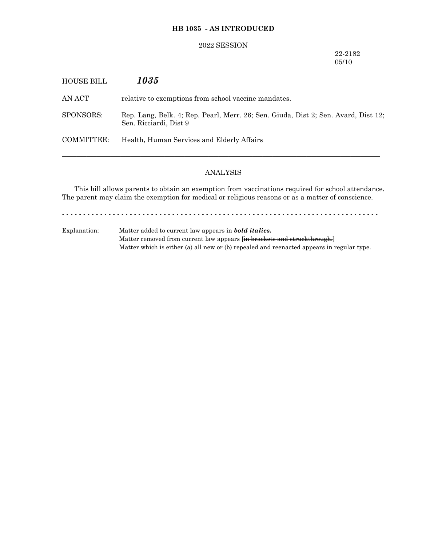# **HB 1035 - AS INTRODUCED**

### 2022 SESSION

## 22-2182 05/10

| HOUSE BILL | 1035                                                                                                         |
|------------|--------------------------------------------------------------------------------------------------------------|
| AN ACT     | relative to exemptions from school vaccine mandates.                                                         |
| SPONSORS:  | Rep. Lang, Belk. 4; Rep. Pearl, Merr. 26; Sen. Giuda, Dist 2; Sen. Avard, Dist 12;<br>Sen. Ricciardi, Dist 9 |
| COMMITTEE: | Health, Human Services and Elderly Affairs                                                                   |
|            |                                                                                                              |

# ANALYSIS

This bill allows parents to obtain an exemption from vaccinations required for school attendance. The parent may claim the exemption for medical or religious reasons or as a matter of conscience.

- - - - - - - - - - - - - - - - - - - - - - - - - - - - - - - - - - - - - - - - - - - - - - - - - - - - - - - - - - - - - - - - - - - - - - - - - - -

Explanation: Matter added to current law appears in *bold italics.* Matter removed from current law appears [in brackets and struckthrough.] Matter which is either (a) all new or (b) repealed and reenacted appears in regular type.